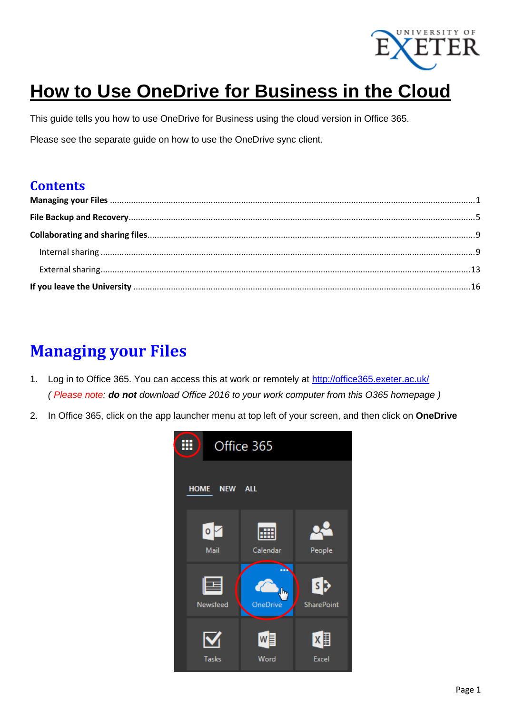

# **How to Use OneDrive for Business in the Cloud**

This guide tells you how to use OneDrive for Business using the cloud version in Office 365.

Please see the separate guide on how to use the OneDrive sync client.

### **Contents**

### <span id="page-0-0"></span>**Managing your Files**

- 1. Log in to Office 365. You can access this at work or remotely at<http://office365.exeter.ac.uk/> *( Please note: do not download Office 2016 to your work computer from this O365 homepage )*
- 2. In Office 365, click on the app launcher menu at top left of your screen, and then click on **OneDrive**

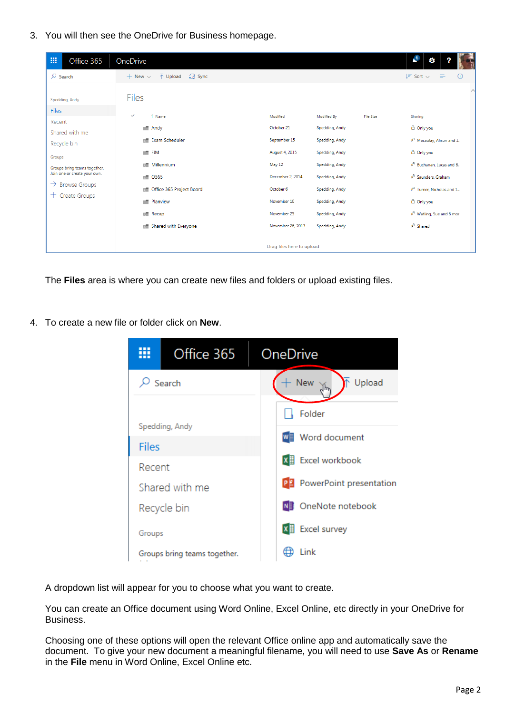3. You will then see the OneDrive for Business homepage.

| 冊<br>Office 365                                                                                                                                                                                                            | OneDrive                                                                                                                                                                                                                                                                               |                                                                                                                                   |                                                                                                                                                             |           | $\mathcal{L}^6$<br>۰                                                                                                                                                                                                                                                                                                  |
|----------------------------------------------------------------------------------------------------------------------------------------------------------------------------------------------------------------------------|----------------------------------------------------------------------------------------------------------------------------------------------------------------------------------------------------------------------------------------------------------------------------------------|-----------------------------------------------------------------------------------------------------------------------------------|-------------------------------------------------------------------------------------------------------------------------------------------------------------|-----------|-----------------------------------------------------------------------------------------------------------------------------------------------------------------------------------------------------------------------------------------------------------------------------------------------------------------------|
| $\sqrt{2}$ Search<br>Spedding, Andy<br><b>Files</b><br>Recent<br>Shared with me<br>Recycle bin<br>Groups<br>Groups bring teams together.<br>Join one or create your own.<br>$\rightarrow$ Browse Groups<br>+ Create Groups | 급 Sync<br>$\overline{\uparrow}$ Upload<br>$+$ New $\vee$<br><b>Files</b><br>$\checkmark$<br>↑ Name<br>$\blacksquare$ Andy<br>Exam Scheduler<br><b>RE</b><br>$\blacksquare$ FIM<br>Millennium<br>пm<br>O365<br>вĦ<br>Office 365 Project Board<br>юĦ<br>Planview<br>o an<br><b>Recap</b> | Modified<br>October 21<br>September 15<br>August 4, 2015<br>May 12<br>December 2, 2014<br>October 6<br>November 10<br>November 25 | Modified By<br>Spedding, Andy<br>Spedding, Andy<br>Spedding, Andy<br>Spedding, Andy<br>Spedding, Andy<br>Spedding, Andy<br>Spedding, Andy<br>Spedding, Andy | File Size | $\odot$<br>$l =$ Sort $\vee$<br>– ≡<br>Sharing<br>$\triangle$ Only you<br>R <sup>R</sup> Macaulay, Alison and 1.<br>A Only you<br>R <sup>R</sup> Buchanan, Lucas and 8.<br>R <sup>R</sup> Saunders, Graham<br>R <sup>R</sup> Turner, Nicholas and 1<br><sup>1</sup> Only you<br>R <sup>R</sup> Watling, Sue and 8 mor |
|                                                                                                                                                                                                                            | <b>In Shared with Everyone</b>                                                                                                                                                                                                                                                         | November 26, 2013<br>Drag files here to upload                                                                                    | Spedding, Andy                                                                                                                                              |           | $R^R$ Shared                                                                                                                                                                                                                                                                                                          |

The **Files** area is where you can create new files and folders or upload existing files.

4. To create a new file or folder click on **New**.



A dropdown list will appear for you to choose what you want to create.

You can create an Office document using Word Online, Excel Online, etc directly in your OneDrive for Business.

Choosing one of these options will open the relevant Office online app and automatically save the document. To give your new document a meaningful filename, you will need to use **Save As** or **Rename** in the **File** menu in Word Online, Excel Online etc.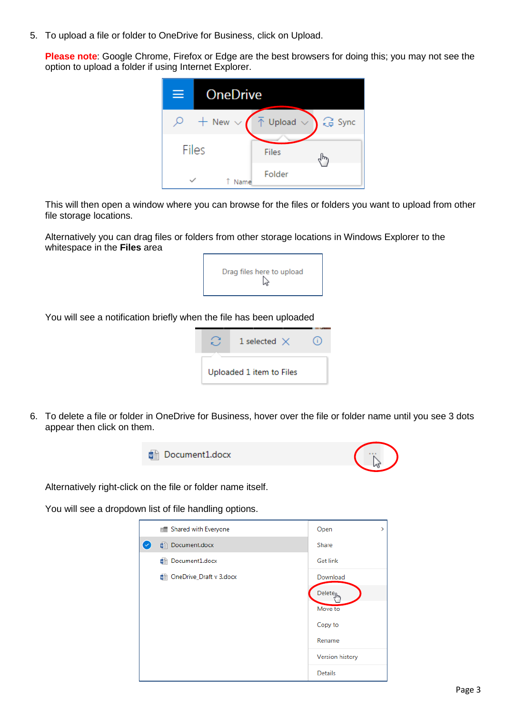5. To upload a file or folder to OneDrive for Business, click on Upload.

**Please note**: Google Chrome, Firefox or Edge are the best browsers for doing this; you may not see the option to upload a folder if using Internet Explorer.



This will then open a window where you can browse for the files or folders you want to upload from other file storage locations.

Alternatively you can drag files or folders from other storage locations in Windows Explorer to the whitespace in the **Files** area



You will see a notification briefly when the file has been uploaded



6. To delete a file or folder in OneDrive for Business, hover over the file or folder name until you see 3 dots appear then click on them.



Alternatively right-click on the file or folder name itself.

You will see a dropdown list of file handling options.

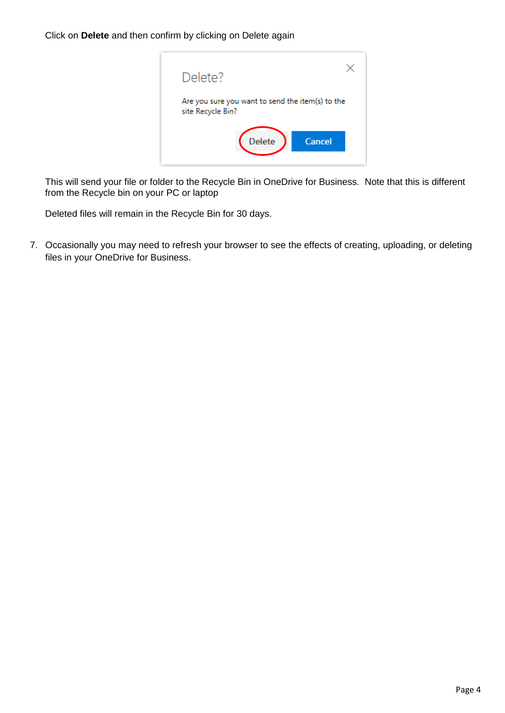Click on **Delete** and then confirm by clicking on Delete again



This will send your file or folder to the Recycle Bin in OneDrive for Business. Note that this is different from the Recycle bin on your PC or laptop

Deleted files will remain in the Recycle Bin for 30 days.

<span id="page-3-0"></span>7. Occasionally you may need to refresh your browser to see the effects of creating, uploading, or deleting files in your OneDrive for Business.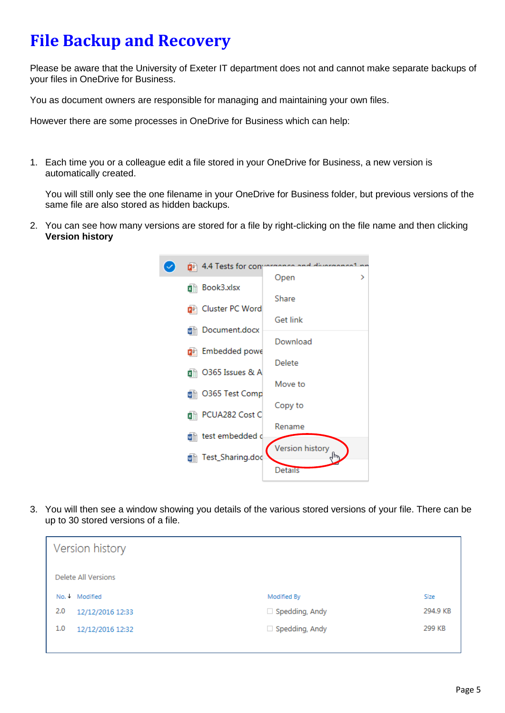## **File Backup and Recovery**

Please be aware that the University of Exeter IT department does not and cannot make separate backups of your files in OneDrive for Business.

You as document owners are responsible for managing and maintaining your own files.

However there are some processes in OneDrive for Business which can help:

1. Each time you or a colleague edit a file stored in your OneDrive for Business, a new version is automatically created.

You will still only see the one filename in your OneDrive for Business folder, but previous versions of the same file are also stored as hidden backups.

2. You can see how many versions are stored for a file by right-clicking on the file name and then clicking **Version history**



3. You will then see a window showing you details of the various stored versions of your file. There can be up to 30 stored versions of a file.

|     | Version history     |                       |          |  |  |
|-----|---------------------|-----------------------|----------|--|--|
|     | Delete All Versions |                       |          |  |  |
|     | No.   Modified      | Modified By           | Size     |  |  |
| 2.0 | 12/12/2016 12:33    | $\Box$ Spedding, Andy | 294.9 KB |  |  |
| 1.0 | 12/12/2016 12:32    | $\Box$ Spedding, Andy | 299 KB   |  |  |
|     |                     |                       |          |  |  |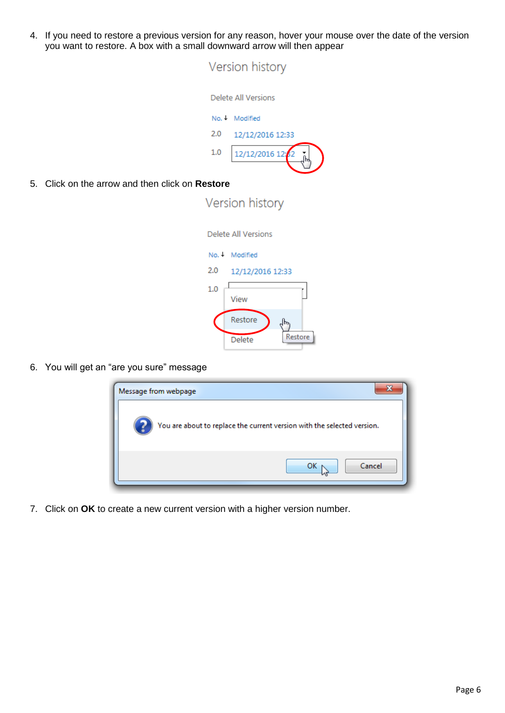4. If you need to restore a previous version for any reason, hover your mouse over the date of the version you want to restore. A box with a small downward arrow will then appear

| Version history |                     |  |  |
|-----------------|---------------------|--|--|
|                 | Delete All Versions |  |  |
|                 | No. • Modified      |  |  |
| 2.0             | 12/12/2016 12:33    |  |  |
| 1.0             | 12/12/2016 12:42    |  |  |
|                 |                     |  |  |
| estore          |                     |  |  |
| Version historv |                     |  |  |

5. Click on the arrow and then click on **R** 

|     | Delete All Versions |
|-----|---------------------|
|     | No. + Modified      |
| 2.0 | 12/12/2016 12:33    |
| 1.0 | View                |
|     | Restore             |
|     | Restore<br>Delete   |

6. You will get an "are you sure" message

| Message from webpage                                                    |        |
|-------------------------------------------------------------------------|--------|
| You are about to replace the current version with the selected version. |        |
| ок                                                                      | Cancel |

7. Click on **OK** to create a new current version with a higher version number.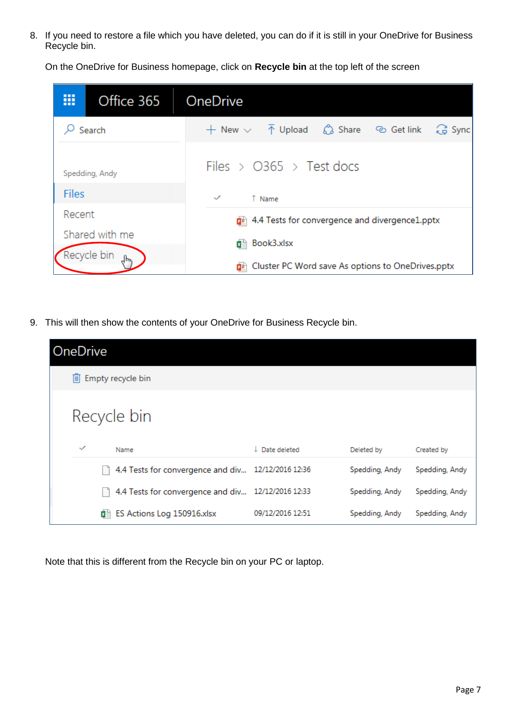8. If you need to restore a file which you have deleted, you can do if it is still in your OneDrive for Business Recycle bin.

On the OneDrive for Business homepage, click on **Recycle bin** at the top left of the screen

| ₩            | Office 365                    | OneDrive                                                                                     |
|--------------|-------------------------------|----------------------------------------------------------------------------------------------|
|              | Search                        | (금 Sync<br>$+$ New $\vee$ $\bar{\uparrow}$ Upload $\hat{\mathcal{C}}$ Share $\circ$ Get link |
|              | Spedding, Andy                | Files > $\circ$ 365 > Test docs                                                              |
| <b>Files</b> |                               | $\checkmark$<br>↑ Name                                                                       |
| Recent       |                               | 4.4 Tests for convergence and divergence1.pptx                                               |
|              | Shared with me<br>Recycle bin | Book3.xlsx<br>翻                                                                              |
|              | ᠾ                             | Cluster PC Word save As options to OneDrives.pptx<br>面面                                      |

9. This will then show the contents of your OneDrive for Business Recycle bin.

| OneDrive     |     |                                   |                  |                |                |
|--------------|-----|-----------------------------------|------------------|----------------|----------------|
|              |     | liii Empty recycle bin            |                  |                |                |
|              |     | Recycle bin                       |                  |                |                |
| $\checkmark$ |     | Name                              | Date deleted     | Deleted by     | Created by     |
|              |     | 4.4 Tests for convergence and div | 12/12/2016 12:36 | Spedding, Andy | Spedding, Andy |
|              |     | 4.4 Tests for convergence and div | 12/12/2016 12:33 | Spedding, Andy | Spedding, Andy |
|              | ×≣i | ES Actions Log 150916.xlsx        | 09/12/2016 12:51 | Spedding, Andy | Spedding, Andy |

Note that this is different from the Recycle bin on your PC or laptop.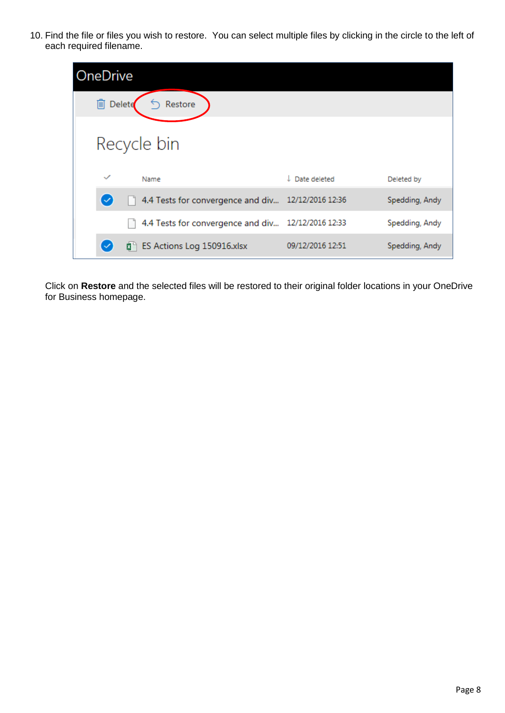10. Find the file or files you wish to restore. You can select multiple files by clicking in the circle to the left of each required filename.

| OneDrive             |        |                                   |                           |                |
|----------------------|--------|-----------------------------------|---------------------------|----------------|
| $\boxed{m}$          | Delete | Restore                           |                           |                |
|                      |        | Recycle bin                       |                           |                |
| $\checkmark$         |        | Name                              | $\downarrow$ Date deleted | Deleted by     |
| $\blacktriangledown$ |        | 4.4 Tests for convergence and div | 12/12/2016 12:36          | Spedding, Andy |
|                      |        | 4.4 Tests for convergence and div | 12/12/2016 12:33          | Spedding, Andy |
|                      |        | 图 ES Actions Log 150916.xlsx      | 09/12/2016 12:51          | Spedding, Andy |

Click on **Restore** and the selected files will be restored to their original folder locations in your OneDrive for Business homepage.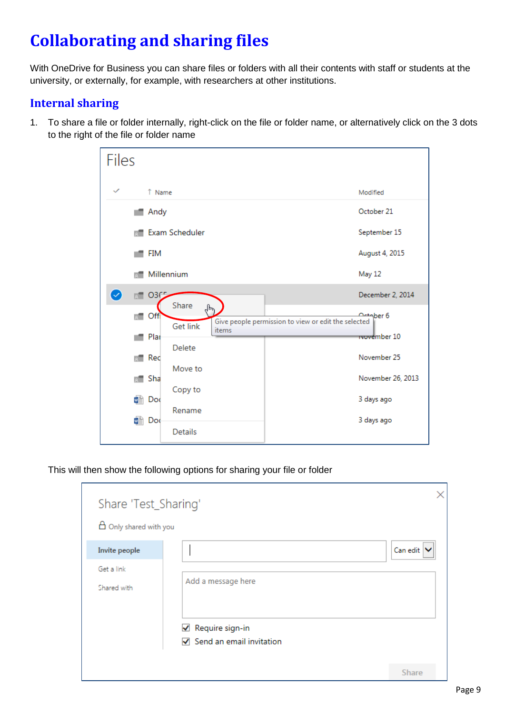## <span id="page-8-0"></span>**Collaborating and sharing files**

With OneDrive for Business you can share files or folders with all their contents with staff or students at the university, or externally, for example, with researchers at other institutions.

### <span id="page-8-1"></span>**Internal sharing**

1. To share a file or folder internally, right-click on the file or folder name, or alternatively click on the 3 dots to the right of the file or folder name

| Files                                       |                 |       |                                                                         |                          |
|---------------------------------------------|-----------------|-------|-------------------------------------------------------------------------|--------------------------|
| $\checkmark$<br>↑ Name                      |                 |       | Modified                                                                |                          |
| Andy                                        |                 |       | October 21                                                              |                          |
|                                             | Exam Scheduler  |       |                                                                         | September 15             |
| FIM                                         |                 |       |                                                                         | August 4, 2015           |
|                                             | Millennium      |       | May 12                                                                  |                          |
| $\bm{\bm{\triangledown}}$<br><b>BT O3F5</b> | Share           |       |                                                                         | December 2, 2014         |
| Offi                                        | <b>Get link</b> | ᡕᠠᡰ   | <b>Actaber 6</b><br>Give people permission to view or edit the selected |                          |
| Plar                                        | Delete          | items |                                                                         | <del>Tvove</del> mber 10 |
| Red                                         | Move to         |       |                                                                         | November 25              |
| Sha<br>в.                                   |                 |       |                                                                         | November 26, 2013        |
| 帽 Doc                                       | Copy to         |       | 3 days ago                                                              |                          |
| Doc<br>w≣                                   | Rename          |       | 3 days ago                                                              |                          |
|                                             | Details         |       |                                                                         |                          |

This will then show the following options for sharing your file or folder

| Share 'Test_Sharing'<br>$\theta$ Only shared with you |                                                                  |                                   |
|-------------------------------------------------------|------------------------------------------------------------------|-----------------------------------|
| Invite people                                         |                                                                  | Can edit $\vert \mathbf{v} \vert$ |
| Get a link<br>Shared with                             | Add a message here                                               |                                   |
|                                                       | $\sqrt{ }$ Require sign-in<br>$\sqrt{}$ Send an email invitation | Share                             |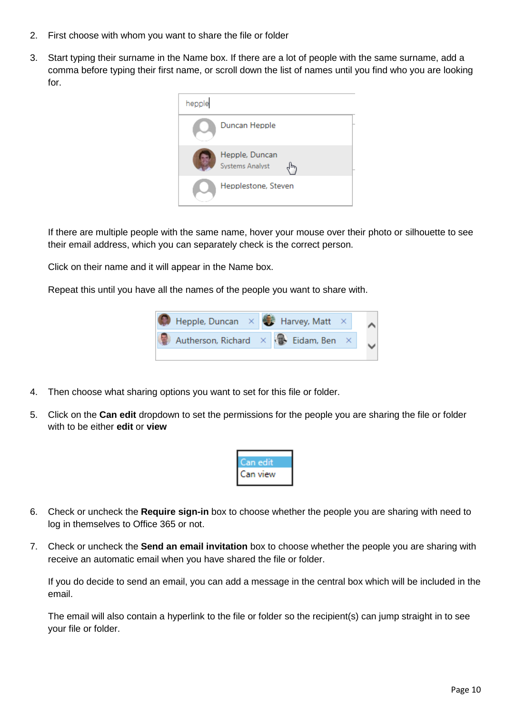- 2. First choose with whom you want to share the file or folder
- 3. Start typing their surname in the Name box. If there are a lot of people with the same surname, add a comma before typing their first name, or scroll down the list of names until you find who you are looking for.



If there are multiple people with the same name, hover your mouse over their photo or silhouette to see their email address, which you can separately check is the correct person.

Click on their name and it will appear in the Name box.

Repeat this until you have all the names of the people you want to share with.



- 4. Then choose what sharing options you want to set for this file or folder.
- 5. Click on the **Can edit** dropdown to set the permissions for the people you are sharing the file or folder with to be either **edit** or **view**



- 6. Check or uncheck the **Require sign-in** box to choose whether the people you are sharing with need to log in themselves to Office 365 or not.
- 7. Check or uncheck the **Send an email invitation** box to choose whether the people you are sharing with receive an automatic email when you have shared the file or folder.

If you do decide to send an email, you can add a message in the central box which will be included in the email.

The email will also contain a hyperlink to the file or folder so the recipient(s) can jump straight in to see your file or folder.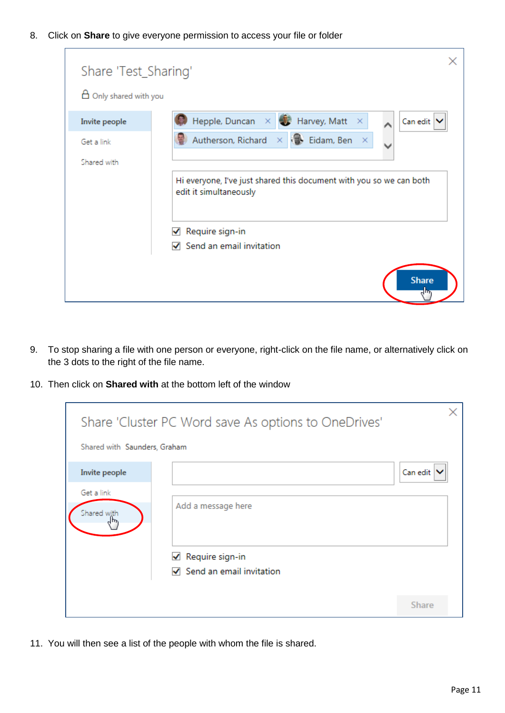8. Click on **Share** to give everyone permission to access your file or folder

| Share 'Test_Sharing'             |                                                                                               |
|----------------------------------|-----------------------------------------------------------------------------------------------|
| $\boxminus$ Only shared with you |                                                                                               |
| Invite people                    | Hepple, Duncan $\times$ $\bullet$ Harvey, Matt<br>Can edit \<br>- × ·                         |
| Get a link                       | $\times$ $\blacksquare$ Eidam, Ben<br>Autherson, Richard<br>×                                 |
| Shared with                      | Hi everyone, I've just shared this document with you so we can both<br>edit it simultaneously |
|                                  | Require sign-in<br>✔                                                                          |
|                                  | Send an email invitation<br>✓                                                                 |
|                                  | <b>Share</b>                                                                                  |

- 9. To stop sharing a file with one person or everyone, right-click on the file name, or alternatively click on the 3 dots to the right of the file name.
- 10. Then click on **Shared with** at the bottom left of the window

| Share 'Cluster PC Word save As options to OneDrives'<br>Shared with Saunders, Graham |                                                                                 |              |
|--------------------------------------------------------------------------------------|---------------------------------------------------------------------------------|--------------|
| Invite people                                                                        |                                                                                 | Can edit     |
| Get a link<br>Shared with                                                            | Add a message here<br>Require sign-in<br>✔<br>$\nabla$ Send an email invitation |              |
|                                                                                      |                                                                                 | <b>Share</b> |

11. You will then see a list of the people with whom the file is shared.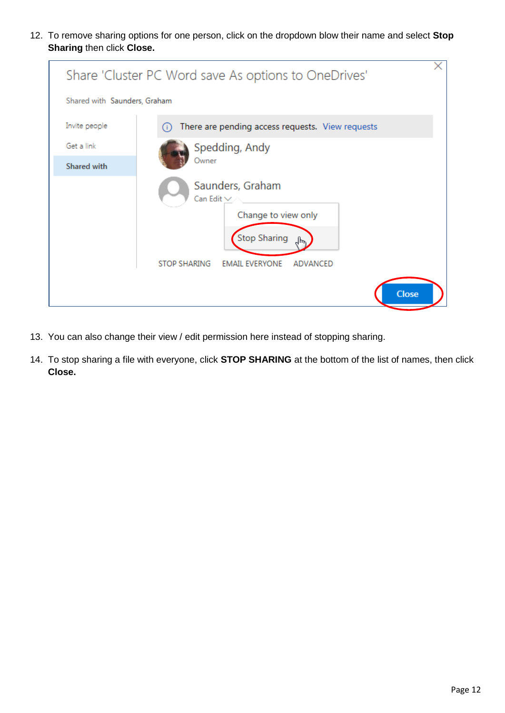12. To remove sharing options for one person, click on the dropdown blow their name and select **Stop Sharing** then click **Close.**

| Share 'Cluster PC Word save As options to OneDrives' |                                                                                                                                                               |  |  |  |  |  |  |
|------------------------------------------------------|---------------------------------------------------------------------------------------------------------------------------------------------------------------|--|--|--|--|--|--|
| Shared with Saunders, Graham                         |                                                                                                                                                               |  |  |  |  |  |  |
| Invite people                                        | There are pending access requests. View requests                                                                                                              |  |  |  |  |  |  |
| Get a link                                           | Spedding, Andy                                                                                                                                                |  |  |  |  |  |  |
| <b>Shared with</b>                                   | Owner                                                                                                                                                         |  |  |  |  |  |  |
|                                                      | Saunders, Graham<br>Can Edit $\vee$<br>Change to view only<br><b>Stop Sharing</b><br><b>STOP SHARING</b><br><b>EMAIL EVERYONE</b><br>ADVANCED<br><b>Close</b> |  |  |  |  |  |  |

- 13. You can also change their view / edit permission here instead of stopping sharing.
- 14. To stop sharing a file with everyone, click **STOP SHARING** at the bottom of the list of names, then click **Close.**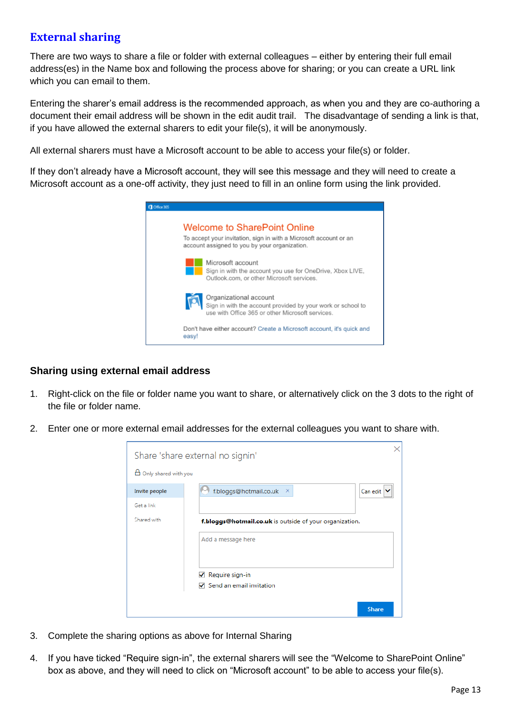### <span id="page-12-0"></span>**External sharing**

There are two ways to share a file or folder with external colleagues – either by entering their full email address(es) in the Name box and following the process above for sharing; or you can create a URL link which you can email to them.

Entering the sharer's email address is the recommended approach, as when you and they are co-authoring a document their email address will be shown in the edit audit trail. The disadvantage of sending a link is that, if you have allowed the external sharers to edit your file(s), it will be anonymously.

All external sharers must have a Microsoft account to be able to access your file(s) or folder.

If they don't already have a Microsoft account, they will see this message and they will need to create a Microsoft account as a one-off activity, they just need to fill in an online form using the link provided.



#### **Sharing using external email address**

- 1. Right-click on the file or folder name you want to share, or alternatively click on the 3 dots to the right of the file or folder name.
- 2. Enter one or more external email addresses for the external colleagues you want to share with.

| Share 'share external no signin' |                                                           |  |  |  |  |
|----------------------------------|-----------------------------------------------------------|--|--|--|--|
| □ Only shared with you           |                                                           |  |  |  |  |
| Invite people                    | f.bloggs@hotmail.co.uk<br>Can edit<br>$\mathbf{x}$        |  |  |  |  |
| Get a link                       |                                                           |  |  |  |  |
| Shared with                      | f.bloggs@hotmail.co.uk is outside of your organization.   |  |  |  |  |
|                                  | Add a message here                                        |  |  |  |  |
|                                  | Require sign-in<br>✔<br>$\nabla$ Send an email invitation |  |  |  |  |
|                                  |                                                           |  |  |  |  |
|                                  | <b>Share</b>                                              |  |  |  |  |

- 3. Complete the sharing options as above for Internal Sharing
- 4. If you have ticked "Require sign-in", the external sharers will see the "Welcome to SharePoint Online" box as above, and they will need to click on "Microsoft account" to be able to access your file(s).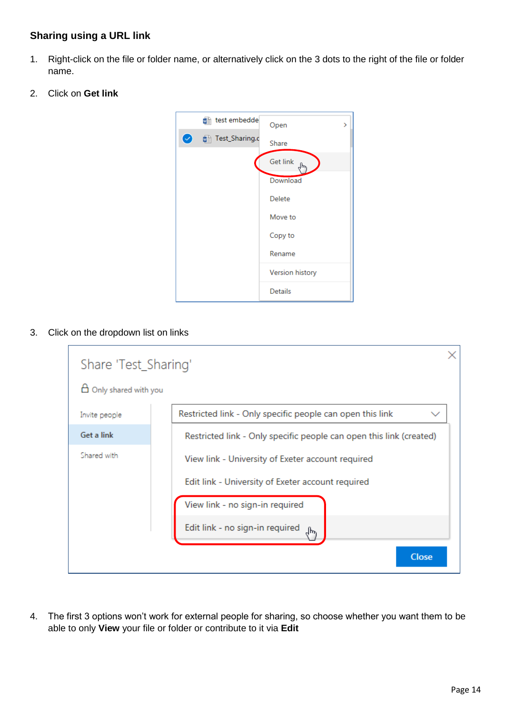#### **Sharing using a URL link**

- 1. Right-click on the file or folder name, or alternatively click on the 3 dots to the right of the file or folder name.
- 2. Click on **Get link**



3. Click on the dropdown list on links

| Share 'Test_Sharing'      |                                                                           |  |  |  |  |
|---------------------------|---------------------------------------------------------------------------|--|--|--|--|
| Only shared with you<br>8 |                                                                           |  |  |  |  |
| Invite people             | Restricted link - Only specific people can open this link<br>$\checkmark$ |  |  |  |  |
| Get a link                | Restricted link - Only specific people can open this link (created)       |  |  |  |  |
| Shared with               | View link - University of Exeter account required                         |  |  |  |  |
|                           | Edit link - University of Exeter account required                         |  |  |  |  |
|                           | View link - no sign-in required                                           |  |  |  |  |
|                           | Edit link - no sign-in required                                           |  |  |  |  |
|                           | <b>Close</b>                                                              |  |  |  |  |

4. The first 3 options won't work for external people for sharing, so choose whether you want them to be able to only **View** your file or folder or contribute to it via **Edit**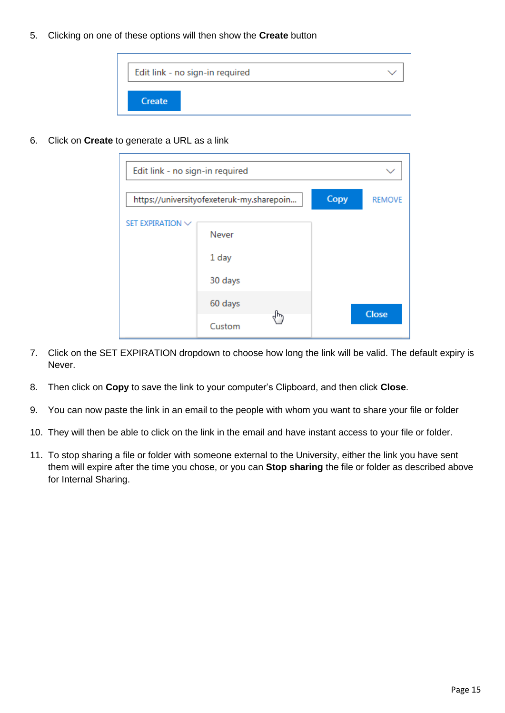5. Clicking on one of these options will then show the **Create** button



6. Click on **Create** to generate a URL as a link

| Edit link - no sign-in required                   |         |  |  |               |
|---------------------------------------------------|---------|--|--|---------------|
| Copy<br>https://universityofexeteruk-my.sharepoin |         |  |  | <b>REMOVE</b> |
| SET EXPIRATION V                                  | Never   |  |  |               |
|                                                   | 1 day   |  |  |               |
|                                                   | 30 days |  |  |               |
|                                                   | 60 days |  |  | <b>Close</b>  |
|                                                   | Custom  |  |  |               |

- 7. Click on the SET EXPIRATION dropdown to choose how long the link will be valid. The default expiry is Never.
- 8. Then click on **Copy** to save the link to your computer's Clipboard, and then click **Close**.
- 9. You can now paste the link in an email to the people with whom you want to share your file or folder
- 10. They will then be able to click on the link in the email and have instant access to your file or folder.
- 11. To stop sharing a file or folder with someone external to the University, either the link you have sent them will expire after the time you chose, or you can **Stop sharing** the file or folder as described above for Internal Sharing.